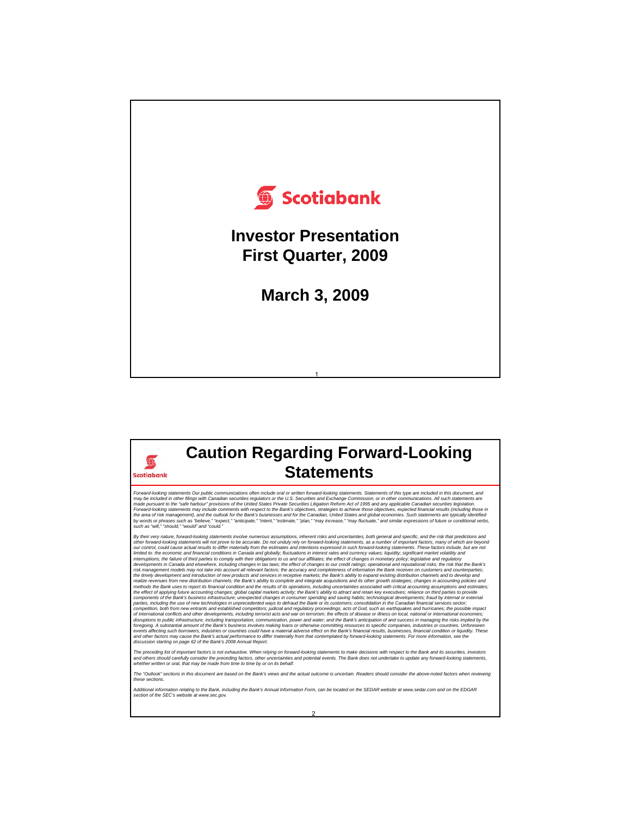

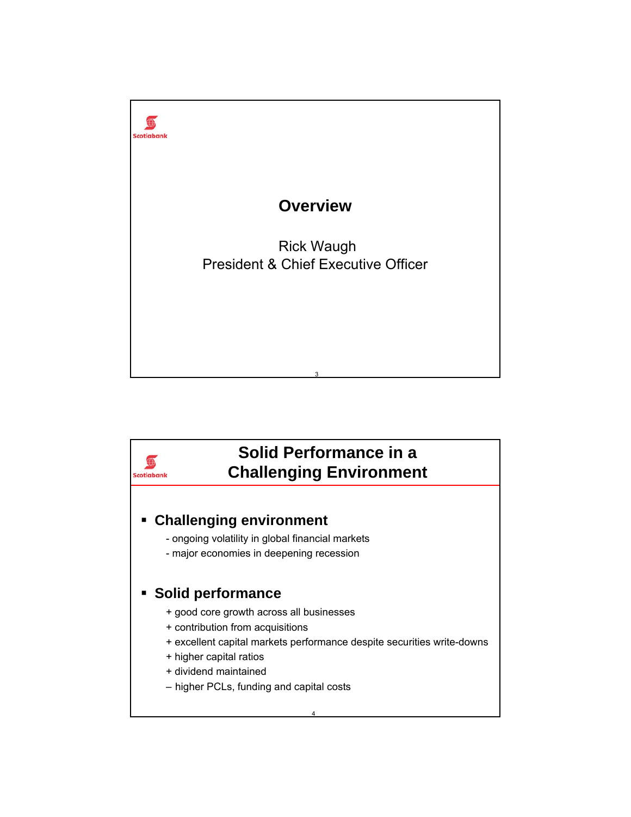

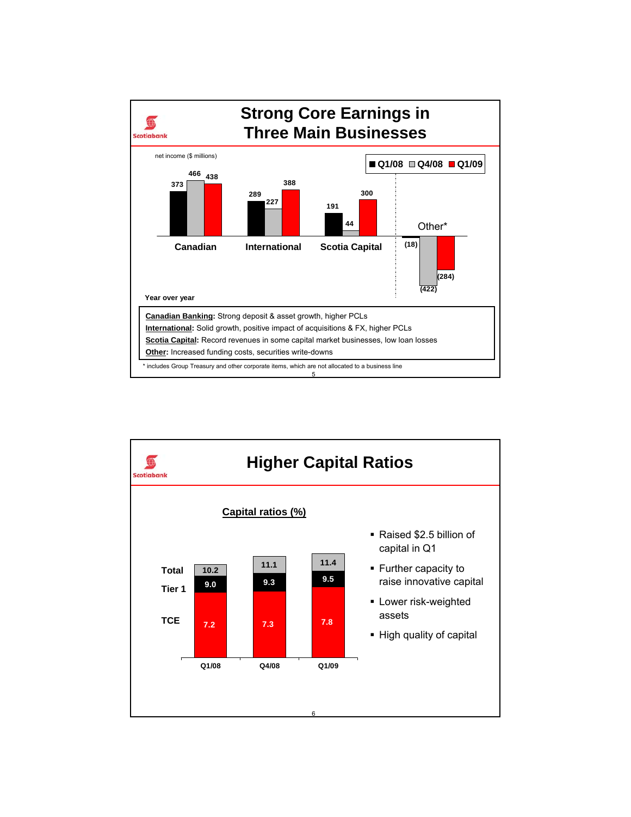

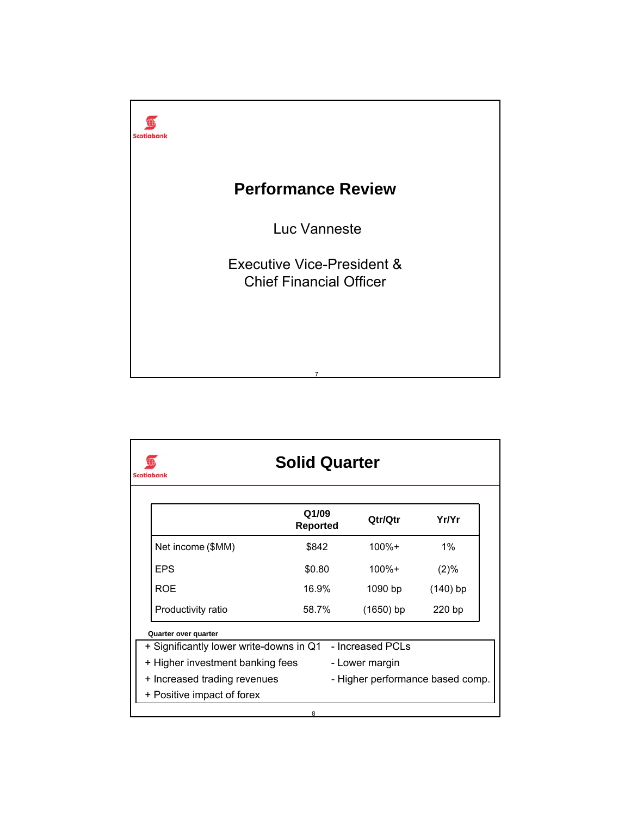

| <b>Solid Quarter</b><br>Scotiabank      |                          |                  |                                  |  |  |  |
|-----------------------------------------|--------------------------|------------------|----------------------------------|--|--|--|
|                                         | Q1/09<br><b>Reported</b> | Qtr/Qtr          | Yr/Yr                            |  |  |  |
| Net income (\$MM)                       | \$842                    | $100% +$         | $1\%$                            |  |  |  |
| <b>EPS</b>                              | \$0.80                   | $100\% +$        | (2)%                             |  |  |  |
| ROE                                     | 16.9%                    | $1090$ bp        | $(140)$ bp                       |  |  |  |
| Productivity ratio                      | 58.7%                    | $(1650)$ bp      | 220 bp                           |  |  |  |
| Quarter over quarter                    |                          |                  |                                  |  |  |  |
| + Significantly lower write-downs in Q1 |                          | - Increased PCLs |                                  |  |  |  |
| + Higher investment banking fees        |                          | - Lower margin   |                                  |  |  |  |
| + Increased trading revenues            |                          |                  | - Higher performance based comp. |  |  |  |
| + Positive impact of forex              |                          |                  |                                  |  |  |  |
|                                         | 8                        |                  |                                  |  |  |  |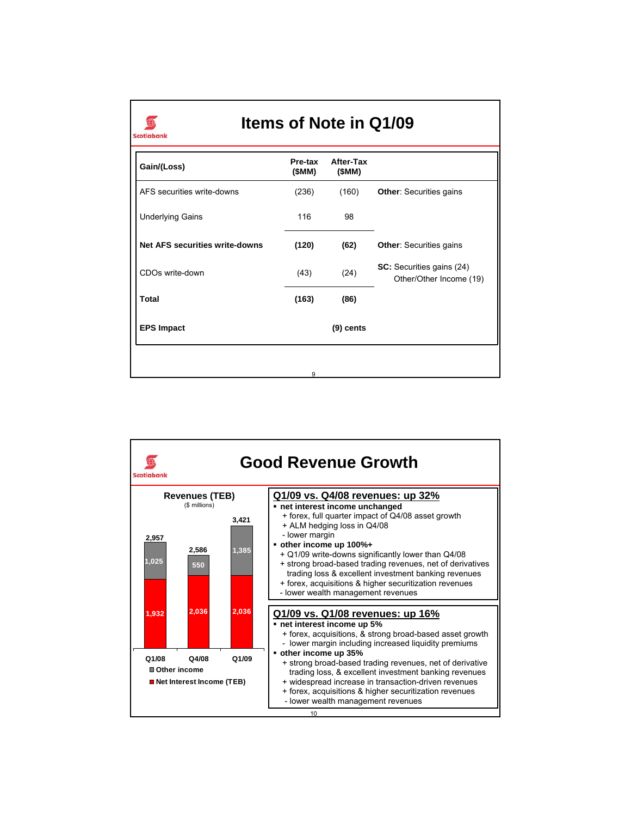| <b>Items of Note in Q1/09</b><br>Scotiabank |                   |                    |                                                             |  |  |
|---------------------------------------------|-------------------|--------------------|-------------------------------------------------------------|--|--|
| Gain/(Loss)                                 | Pre-tax<br>(\$MM) | After-Tax<br>(SMM) |                                                             |  |  |
| AFS securities write-downs                  | (236)             | (160)              | <b>Other: Securities gains</b>                              |  |  |
| <b>Underlying Gains</b>                     | 116               | 98                 |                                                             |  |  |
| <b>Net AFS securities write-downs</b>       | (120)             | (62)               | <b>Other: Securities gains</b>                              |  |  |
| CDOs write-down                             | (43)              | (24)               | <b>SC:</b> Securities gains (24)<br>Other/Other Income (19) |  |  |
| <b>Total</b>                                | (163)             | (86)               |                                                             |  |  |
| <b>EPS Impact</b>                           |                   | $(9)$ cents        |                                                             |  |  |
|                                             | q                 |                    |                                                             |  |  |

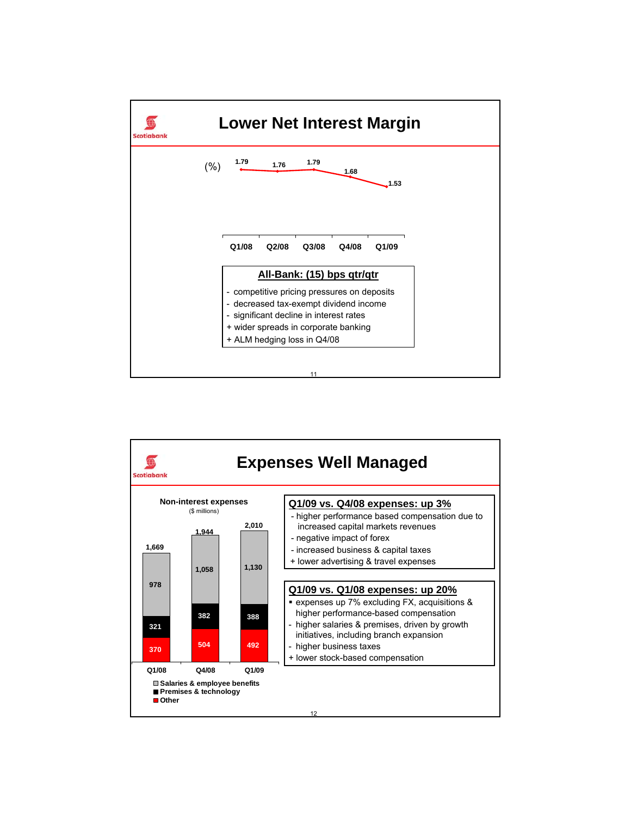

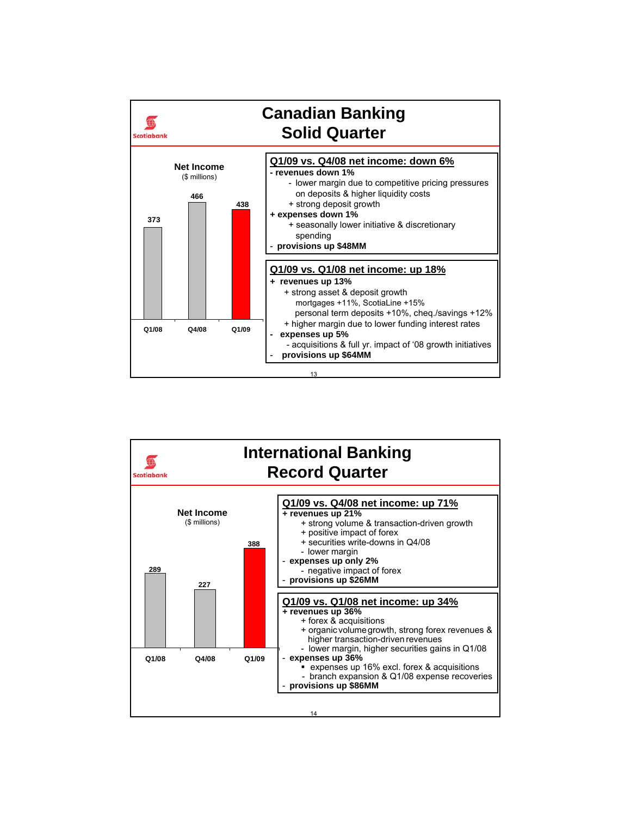

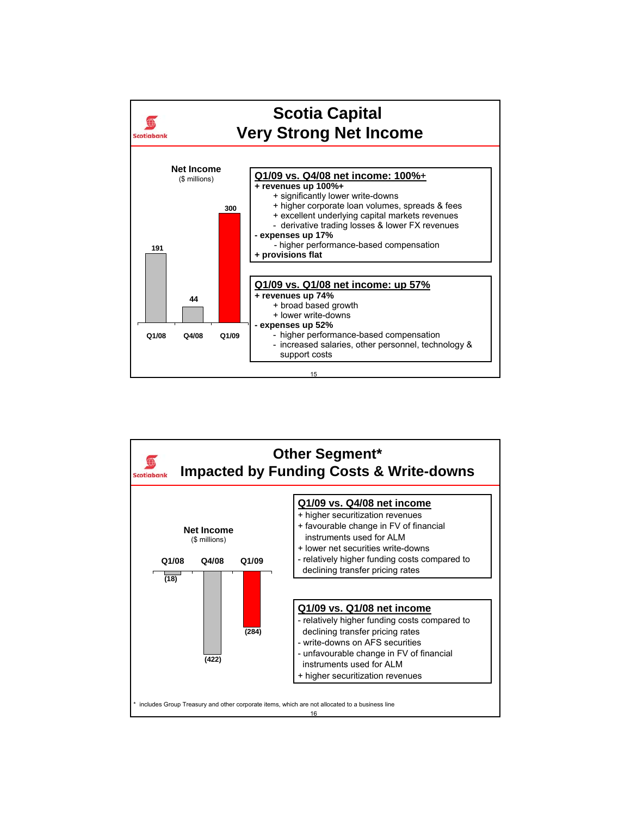

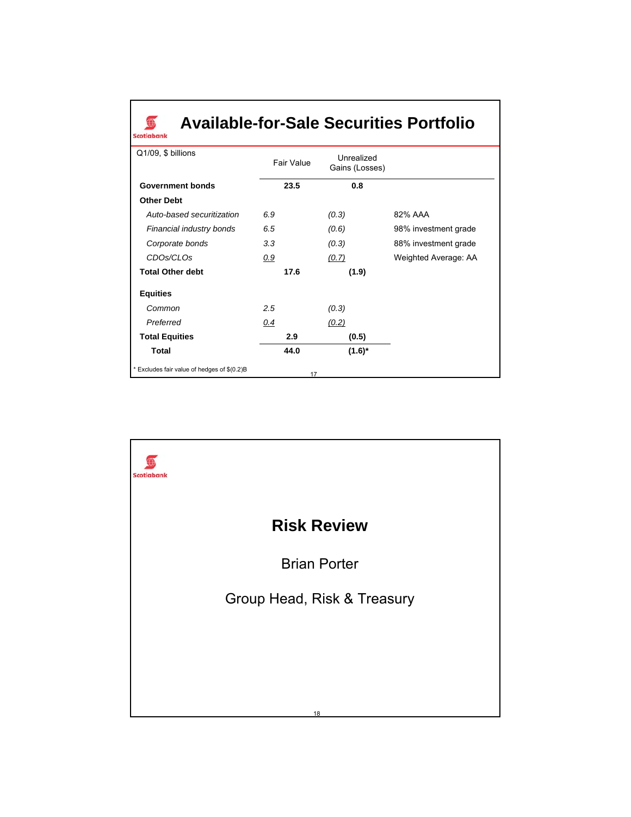## **Available-for-Sale Securities Portfolio**

**O**<br>Scotlabank

| Q1/09, \$ billions                          | Fair Value | Unrealized<br>Gains (Losses) |                      |
|---------------------------------------------|------------|------------------------------|----------------------|
| <b>Government bonds</b>                     | 23.5       | 0.8                          |                      |
| <b>Other Debt</b>                           |            |                              |                      |
| Auto-based securitization                   | 6.9        | (0.3)                        | 82% AAA              |
| Financial industry bonds                    | 6.5        | (0.6)                        | 98% investment grade |
| Corporate bonds                             | 3.3        | (0.3)                        | 88% investment grade |
| CDOs/CLOs                                   | <u>0.9</u> | (0.7)                        | Weighted Average: AA |
| <b>Total Other debt</b>                     | 17.6       | (1.9)                        |                      |
| <b>Equities</b>                             |            |                              |                      |
| Common                                      | 2.5        | (0.3)                        |                      |
| Preferred                                   | 0.4        | (0.2)                        |                      |
| <b>Total Equities</b>                       | 2.9        | (0.5)                        |                      |
| <b>Total</b>                                | 44.0       | $(1.6)^*$                    |                      |
| * Excludes fair value of hedges of \$(0.2)B | 17         |                              |                      |

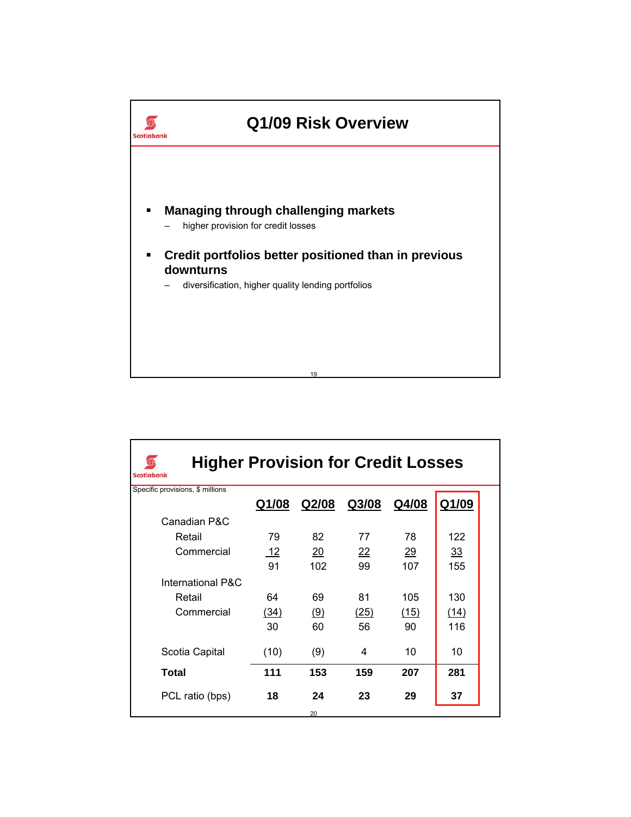

| <b>Higher Provision for Credit Losses</b><br>Scotiabank |       |       |       |                 |       |  |
|---------------------------------------------------------|-------|-------|-------|-----------------|-------|--|
| Specific provisions, \$ millions                        |       |       |       |                 |       |  |
|                                                         | Q1/08 | Q2/08 | Q3/08 | Q4/08           | Q1/09 |  |
| Canadian P&C                                            |       |       |       |                 |       |  |
| Retail                                                  | 79    | 82    | 77    | 78              | 122   |  |
| Commercial                                              | 12    | 20    | 22    | $\overline{29}$ | 33    |  |
|                                                         | 91    | 102   | 99    | 107             | 155   |  |
| International P&C                                       |       |       |       |                 |       |  |
| Retail                                                  | 64    | 69    | 81    | 105             | 130   |  |
| Commercial                                              | (34)  | (9)   | (25)  | (15)            | (14)  |  |
|                                                         | 30    | 60    | 56    | 90              | 116   |  |
| Scotia Capital                                          | (10)  | (9)   | 4     | 10              | 10    |  |
| Total                                                   | 111   | 153   | 159   | 207             | 281   |  |
| PCL ratio (bps)                                         | 18    | 24    | 23    | 29              | 37    |  |
|                                                         |       | 20    |       |                 |       |  |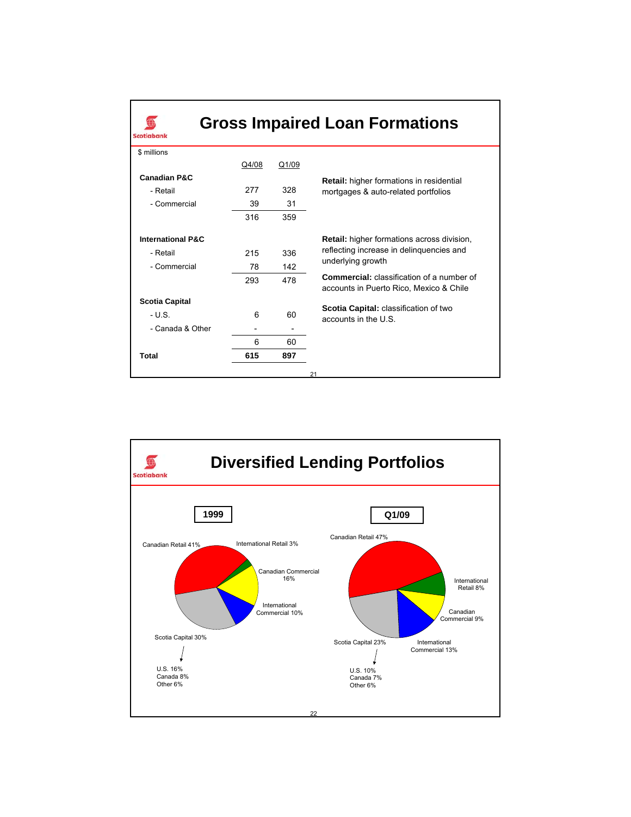| <b>Gross Impaired Loan Formations</b><br><b>Scotiabank</b> |       |       |                                                                                             |  |  |  |
|------------------------------------------------------------|-------|-------|---------------------------------------------------------------------------------------------|--|--|--|
| \$ millions                                                |       |       |                                                                                             |  |  |  |
|                                                            | Q4/08 | Q1/09 |                                                                                             |  |  |  |
| <b>Canadian P&amp;C</b>                                    |       |       | <b>Retail:</b> higher formations in residential                                             |  |  |  |
| - Retail                                                   | 277   | 328   | mortgages & auto-related portfolios                                                         |  |  |  |
| - Commercial                                               | 39    | 31    |                                                                                             |  |  |  |
|                                                            | 316   | 359   |                                                                                             |  |  |  |
| <b>International P&amp;C</b>                               |       |       | <b>Retail:</b> higher formations across division,                                           |  |  |  |
| - Retail                                                   | 215   | 336   | reflecting increase in delinquencies and                                                    |  |  |  |
| - Commercial                                               | 78    | 142   | underlying growth                                                                           |  |  |  |
|                                                            | 293   | 478   | <b>Commercial:</b> classification of a number of<br>accounts in Puerto Rico, Mexico & Chile |  |  |  |
| <b>Scotia Capital</b>                                      |       |       |                                                                                             |  |  |  |
| $- U.S.$                                                   | 6     | 60    | Scotia Capital: classification of two<br>accounts in the U.S.                               |  |  |  |
| - Canada & Other                                           |       |       |                                                                                             |  |  |  |
|                                                            | 6     | 60    |                                                                                             |  |  |  |
| Total                                                      | 615   | 897   |                                                                                             |  |  |  |
|                                                            |       |       | 21                                                                                          |  |  |  |

Г

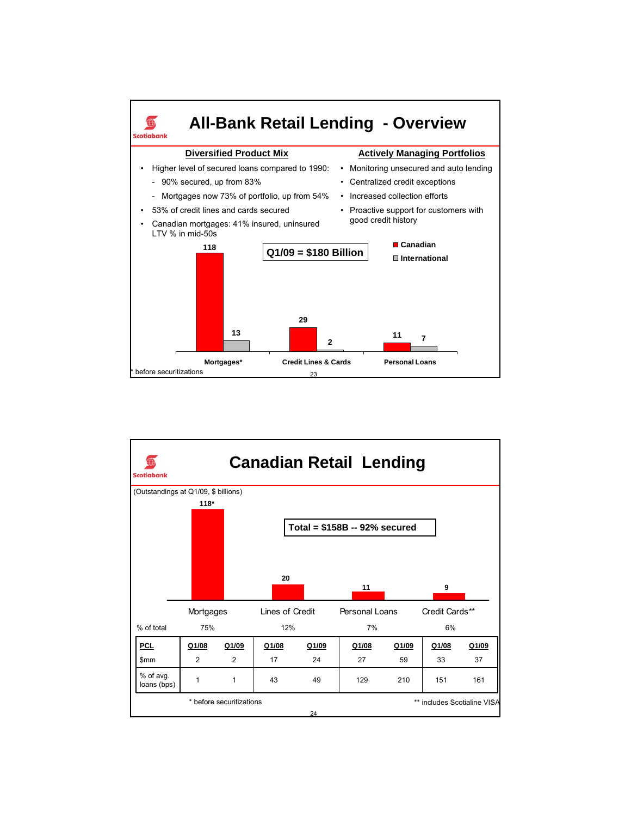

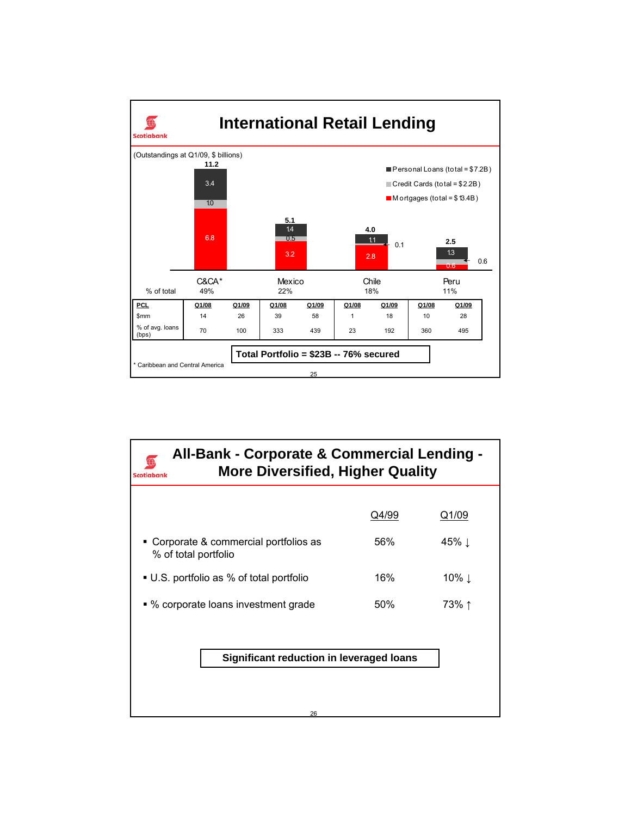

# **All-Bank - Corporate & Commercial Lending -**  $\bigoplus$ **More Diversified, Higher Quality** Scotiabank Q4/99 Q1/09 ■ Corporate & commercial portfolios as 56% 45% ↓ % of total portfolio ■ U.S. portfolio as % of total portfolio 16% 16% 10% ↓ ■ % corporate loans investment grade 50% 73% ↑ **Significant reduction in leveraged loans**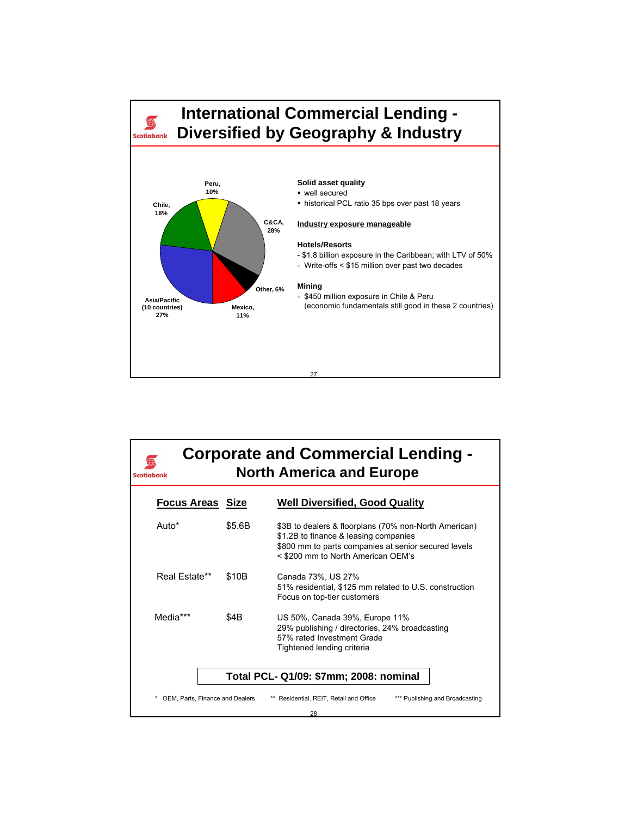

| <b>Corporate and Commercial Lending -</b><br><b>North America and Europe</b><br>Scotiabank |        |                                                                                                                                                                                              |  |  |  |  |
|--------------------------------------------------------------------------------------------|--------|----------------------------------------------------------------------------------------------------------------------------------------------------------------------------------------------|--|--|--|--|
| <b>Focus Areas Size</b>                                                                    |        | <b>Well Diversified, Good Quality</b>                                                                                                                                                        |  |  |  |  |
| Auto*                                                                                      | \$5.6B | \$3B to dealers & floorplans (70% non-North American)<br>\$1.2B to finance & leasing companies<br>\$800 mm to parts companies at senior secured levels<br>< \$200 mm to North American OEM's |  |  |  |  |
| Real Estate**                                                                              | \$10B  | Canada 73%, US 27%<br>51% residential, \$125 mm related to U.S. construction<br>Focus on top-tier customers                                                                                  |  |  |  |  |
| Media***                                                                                   | \$4B   | US 50%, Canada 39%, Europe 11%<br>29% publishing / directories, 24% broadcasting<br>57% rated Investment Grade<br>Tightened lending criteria                                                 |  |  |  |  |
|                                                                                            |        | Total PCL- Q1/09: \$7mm; 2008: nominal                                                                                                                                                       |  |  |  |  |
| OEM, Parts, Finance and Dealers                                                            |        | ** Residential, REIT, Retail and Office<br>*** Publishing and Broadcasting<br>28                                                                                                             |  |  |  |  |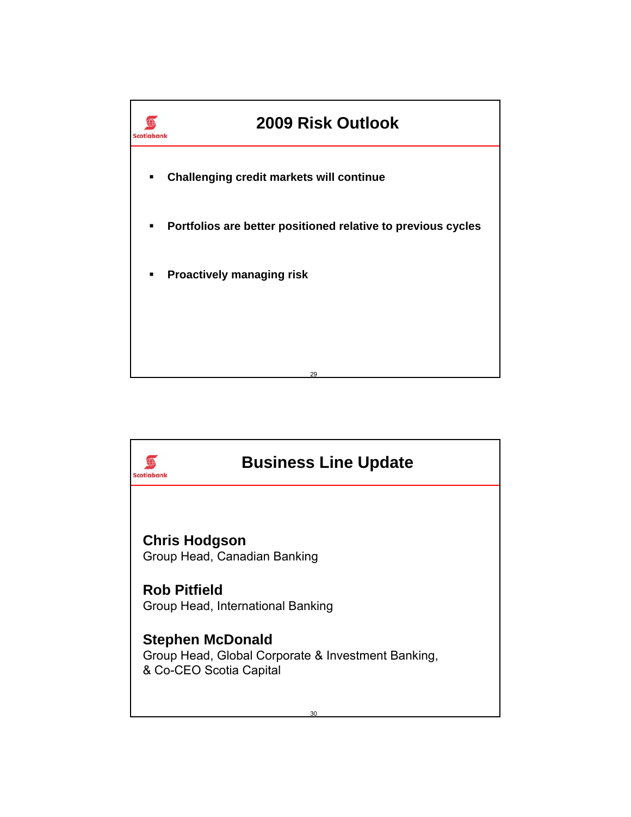

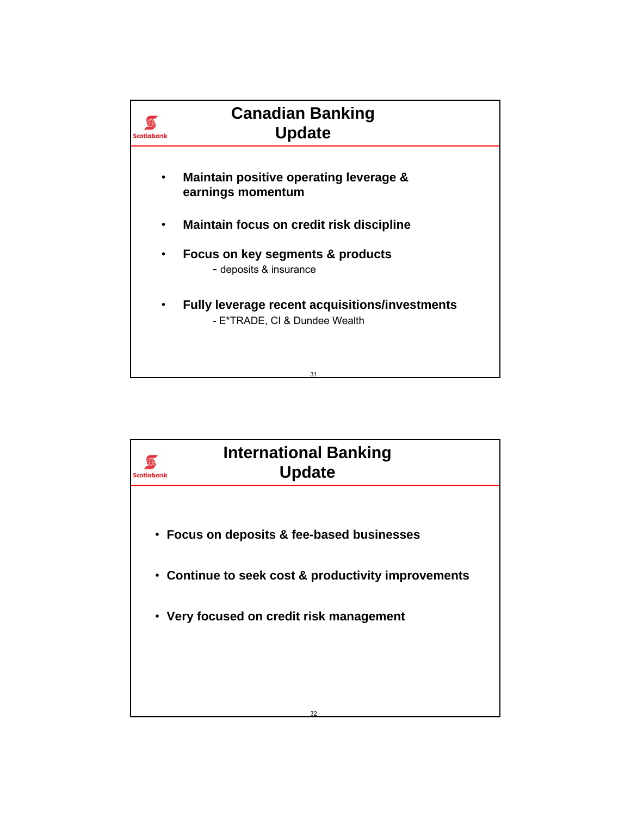

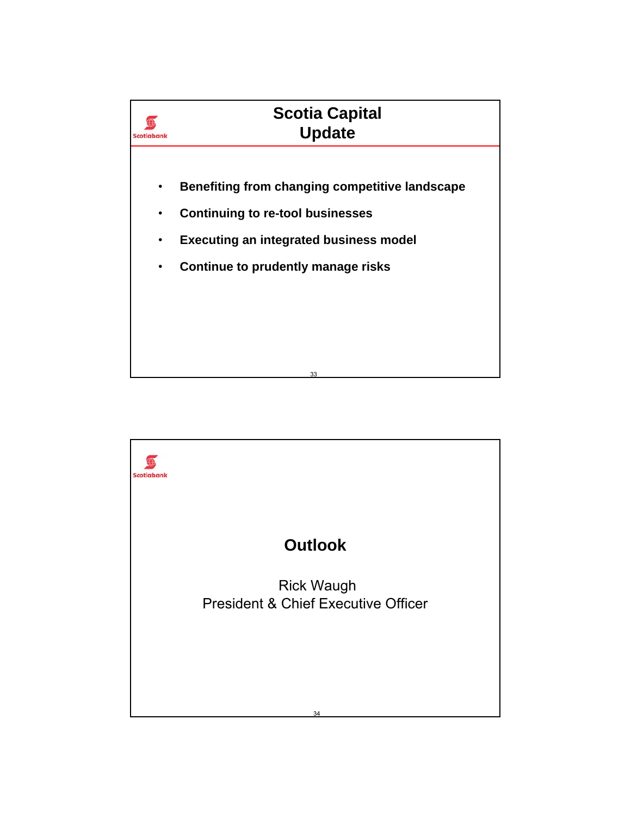

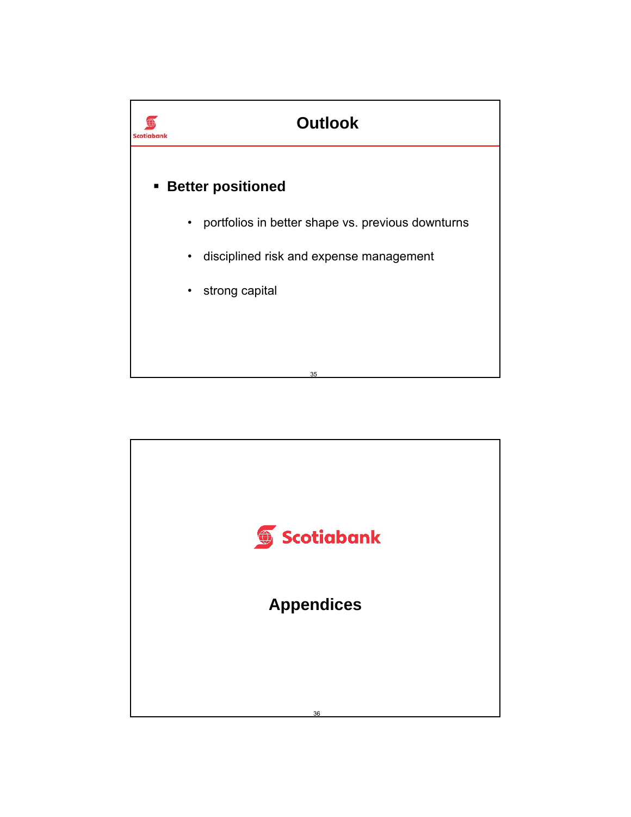

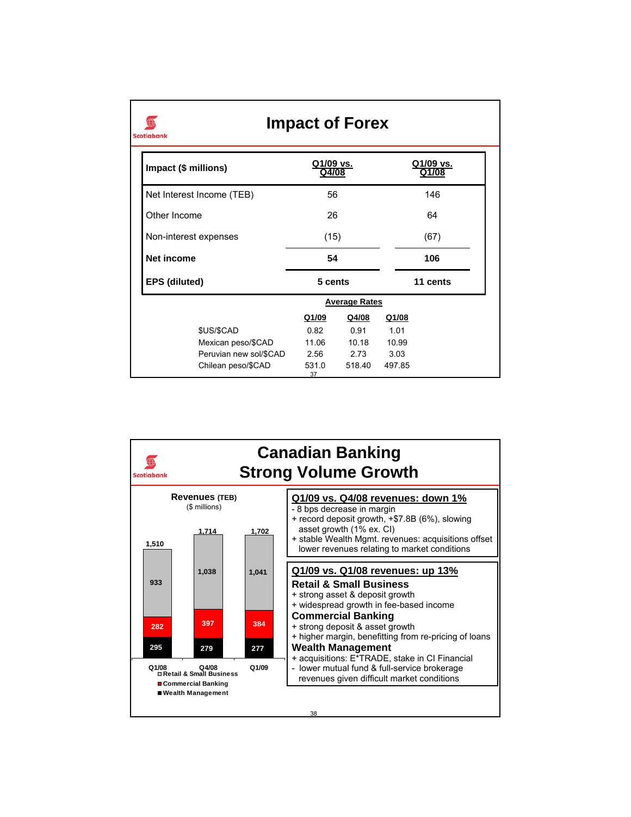| <b>Impact of Forex</b><br><b>Scotiabank</b> |                    |                      |        |                    |  |  |
|---------------------------------------------|--------------------|----------------------|--------|--------------------|--|--|
| Impact (\$ millions)                        | Q1/09 vs.<br>14/08 |                      |        | Q1/09 vs.<br>01/08 |  |  |
| Net Interest Income (TEB)                   | 56                 |                      |        | 146                |  |  |
| Other Income                                | 26                 |                      |        | 64                 |  |  |
| Non-interest expenses                       | (15)               |                      |        | (67)               |  |  |
| <b>Net income</b>                           | 54                 |                      |        | 106                |  |  |
| <b>EPS (diluted)</b>                        | 5 cents            |                      |        | 11 cents           |  |  |
|                                             |                    | <b>Average Rates</b> |        |                    |  |  |
|                                             | Q1/09              | Q4/08                | Q1/08  |                    |  |  |
| \$US/\$CAD                                  | 0.82               | 0.91                 | 1.01   |                    |  |  |
| Mexican peso/\$CAD                          | 11.06              | 10.18                | 10.99  |                    |  |  |
| Peruvian new sol/\$CAD                      | 2.56               | 2.73                 | 3.03   |                    |  |  |
| Chilean peso/\$CAD                          | 531.0<br>37        | 518.40               | 497.85 |                    |  |  |

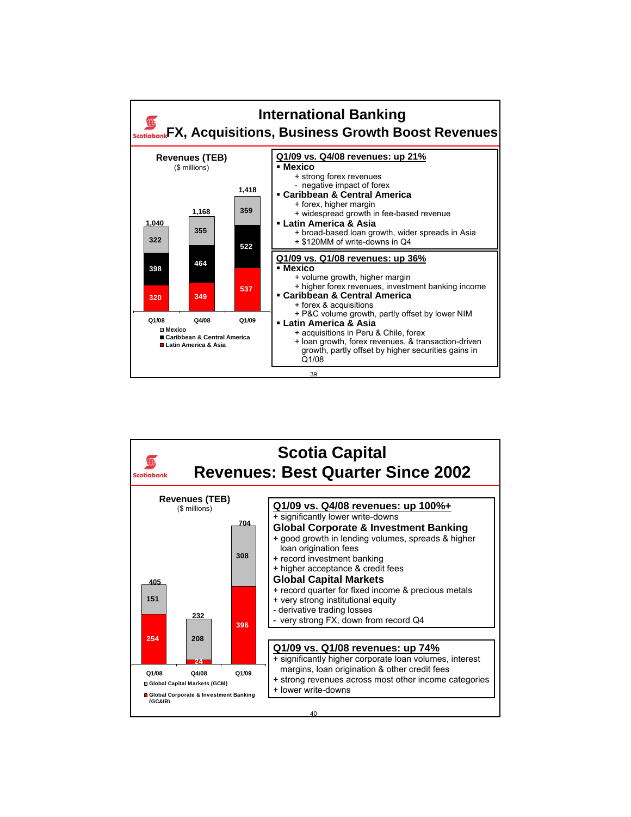

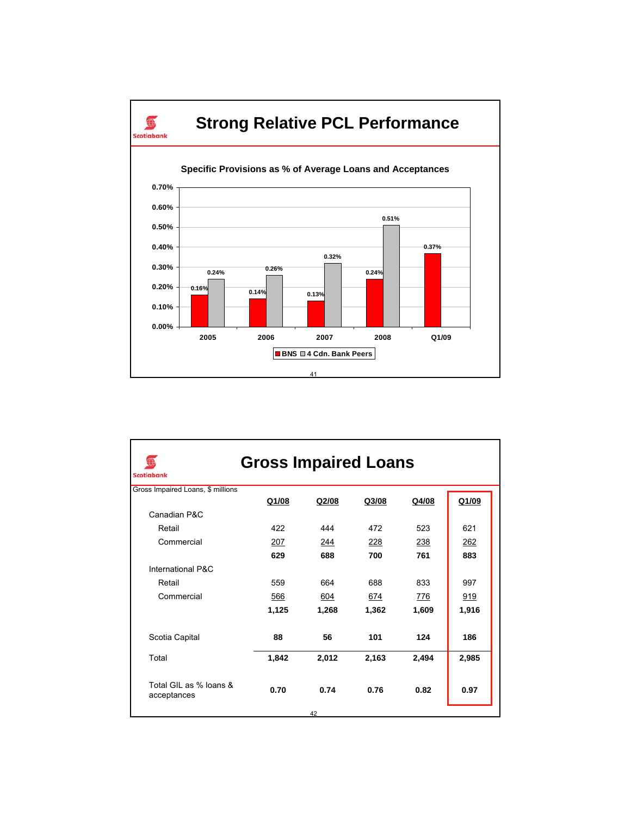

| <b>Gross Impaired Loans</b><br><b>Scotiabank</b> |       |       |       |       |            |  |
|--------------------------------------------------|-------|-------|-------|-------|------------|--|
| Gross Impaired Loans, \$ millions                |       |       |       |       |            |  |
|                                                  | Q1/08 | Q2/08 | Q3/08 | Q4/08 | Q1/09      |  |
| Canadian P&C                                     |       |       |       |       |            |  |
| Retail                                           | 422   | 444   | 472   | 523   | 621        |  |
| Commercial                                       | 207   | 244   | 228   | 238   | 262        |  |
|                                                  | 629   | 688   | 700   | 761   | 883        |  |
| International P&C                                |       |       |       |       |            |  |
| Retail                                           | 559   | 664   | 688   | 833   | 997        |  |
| Commercial                                       | 566   | 604   | 674   | 776   | <u>919</u> |  |
|                                                  | 1,125 | 1,268 | 1,362 | 1,609 | 1,916      |  |
| Scotia Capital                                   | 88    | 56    | 101   | 124   | 186        |  |
| Total                                            | 1,842 | 2,012 | 2,163 | 2,494 | 2,985      |  |
| Total GIL as % loans &<br>acceptances            | 0.70  | 0.74  | 0.76  | 0.82  | 0.97       |  |
|                                                  |       | 42    |       |       |            |  |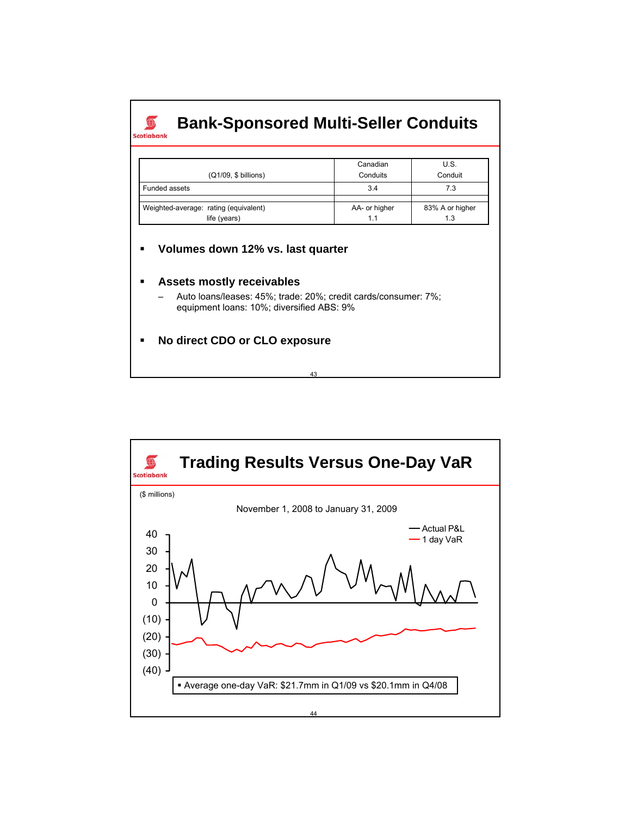### **Bank-Sponsored Multi-Seller Conduits**

| (Q1/09, \$ billions)                                  | Canadian<br>Conduits | U.S.<br>Conduit        |
|-------------------------------------------------------|----------------------|------------------------|
| Funded assets                                         | 3.4                  | 7.3                    |
| Weighted-average: rating (equivalent)<br>life (years) | AA- or higher<br>1.1 | 83% A or higher<br>1.3 |

**Volumes down 12% vs. last quarter**

#### **Assets mostly receivables**

 $\bigcirc$ Scotiabank

> – Auto loans/leases: 45%; trade: 20%; credit cards/consumer: 7%; equipment loans: 10%; diversified ABS: 9%

> > 43

### **No direct CDO or CLO exposure**